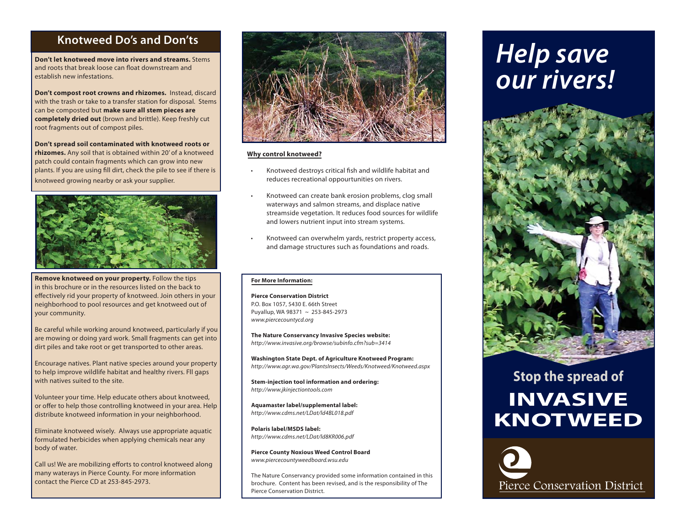### **Knotweed Do's and Don'ts**

**Don't let knotweed move into rivers and streams.** Stems and roots that break loose can float downstream and establish new infestations.

**Don't compost root crowns and rhizomes.** Instead, discard with the trash or take to a transfer station for disposal. Stems can be composted but **make sure all stem pieces are completely dried out** (brown and brittle). Keep freshly cut root fragments out of compost piles.

**Don't spread soil contaminated with knotweed roots or rhizomes.** Any soil that is obtained within 20' of a knotweed patch could contain fragments which can grow into new plants. If you are using fill dirt, check the pile to see if there is knotweed growing nearby or ask your supplier.



**Remove knotweed on your property.** Follow the tips in this brochure or in the resources listed on the back to effectively rid your property of knotweed. Join others in your neighborhood to pool resources and get knotweed out of your community.

Be careful while working around knotweed, particularly if you are mowing or doing yard work. Small fragments can get into dirt piles and take root or get transported to other areas.

Encourage natives. Plant native species around your property to help improve wildlife habitat and healthy rivers. Fll gaps with natives suited to the site.

Volunteer your time. Help educate others about knotweed, or offer to help those controlling knotweed in your area. Help distribute knotweed information in your neighborhood.

Eliminate knotweed wisely. Always use appropriate aquatic formulated herbicides when applying chemicals near any body of water.

Call us! We are mobilizing efforts to control knotweed along many waterays in Pierce County. For more information contact the Pierce CD at 253-845-2973.



### **Why control knotweed?**

- Knotweed destroys critical fish and wildlife habitat and reduces recreational oppourtunities on rivers.
- Knotweed can create bank erosion problems, clog small waterways and salmon streams, and displace native streamside vegetation. It reduces food sources for wildlife and lowers nutrient input into stream systems.
- Knotweed can overwhelm yards, restrict property access, and damage structures such as foundations and roads.

#### **For More Information:**

**Pierce Conservation District**P.O. Box 1057, 5430 E. 66th Street Puyallup, WA 98371 ~ 253-845-2973 *www.piercecountycd.org*

**The Nature Conservancy Invasive Species website:** *http://www.invasive.org/browse/subinfo.cfm?sub=3414*

**Washington State Dept. of Agriculture Knotweed Program:** *http://www.agr.wa.gov/PlantsInsects/Weeds/Knotweed/Knotweed.aspx*

**Stem-injection tool information and ordering:** *http://www.jkinjectiontools.com*

**Aquamaster label/supplemental label:** *http://www.cdms.net/LDat/ld4BL018.pdf*

**Polaris label/MSDS label:** *http://www.cdms.net/LDat/ld8KR006.pdf*

**Pierce County Noxious Weed Control Board** *www.piercecountyweedboard.wsu.edu*

The Nature Conservancy provided some information contained in this brochure. Content has been revised, and is the responsibility of The Pierce Conservation District.

# *Help save our rivers!*



# **Stop the spread of INVASIVE KNOTWEED**